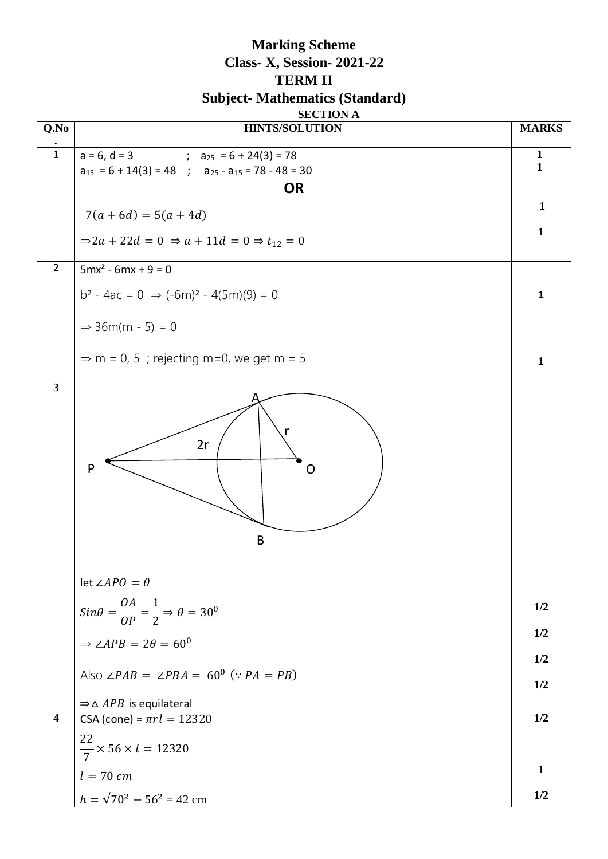## **Marking Scheme Class- X, Session- 2021-22 TERM II Subject- Mathematics (Standard)**

|                         | <b>SECTION A</b>                                                                       |              |  |  |  |  |
|-------------------------|----------------------------------------------------------------------------------------|--------------|--|--|--|--|
| Q.No                    | <b>HINTS/SOLUTION</b>                                                                  | <b>MARKS</b> |  |  |  |  |
| $\mathbf{1}$            | $a = 6, d = 3$<br>; $a_{25} = 6 + 24(3) = 78$                                          | $\mathbf{1}$ |  |  |  |  |
|                         | $a_{15} = 6 + 14(3) = 48$ ; $a_{25} - a_{15} = 78 - 48 = 30$                           | $\mathbf{1}$ |  |  |  |  |
|                         | <b>OR</b>                                                                              |              |  |  |  |  |
|                         | $7(a+6d) = 5(a+4d)$                                                                    | $\mathbf{1}$ |  |  |  |  |
|                         | $\Rightarrow$ 2a + 22d = 0 $\Rightarrow$ a + 11d = 0 $\Rightarrow$ t <sub>12</sub> = 0 | $\mathbf{1}$ |  |  |  |  |
| $\overline{2}$          | $5mx^{2} - 6mx + 9 = 0$                                                                |              |  |  |  |  |
|                         | $b^2 - 4ac = 0 \Rightarrow (-6m)^2 - 4(5m)(9) = 0$                                     | $\mathbf{1}$ |  |  |  |  |
|                         | $\Rightarrow$ 36m(m - 5) = 0                                                           |              |  |  |  |  |
|                         | $\Rightarrow$ m = 0, 5; rejecting m=0, we get m = 5                                    | $\mathbf{1}$ |  |  |  |  |
|                         | 2r<br>$\mathsf{P}$<br>( )<br>$\mathsf B$<br>let $\angle APO = \theta$                  |              |  |  |  |  |
|                         |                                                                                        | 1/2          |  |  |  |  |
|                         | $Sin\theta = \frac{OA}{OP} = \frac{1}{2} \Rightarrow \theta = 30^{\circ}$              |              |  |  |  |  |
|                         | $\Rightarrow \angle APB = 2\theta = 60^{\circ}$                                        | 1/2<br>1/2   |  |  |  |  |
|                         | Also $\angle PAB = \angle PBA = 60^{\circ}$ (: $PA = PB$ )                             | 1/2          |  |  |  |  |
|                         | $\Rightarrow \triangle APB$ is equilateral                                             |              |  |  |  |  |
| $\overline{\mathbf{4}}$ | CSA (cone) = $\pi r l = 12320$                                                         | 1/2          |  |  |  |  |
|                         | $\frac{22}{7}$ × 56 × <i>l</i> = 12320                                                 |              |  |  |  |  |
|                         | $l = 70$ cm                                                                            | $\mathbf{1}$ |  |  |  |  |
|                         | $h = \sqrt{70^2 - 56^2} = 42$ cm                                                       | 1/2          |  |  |  |  |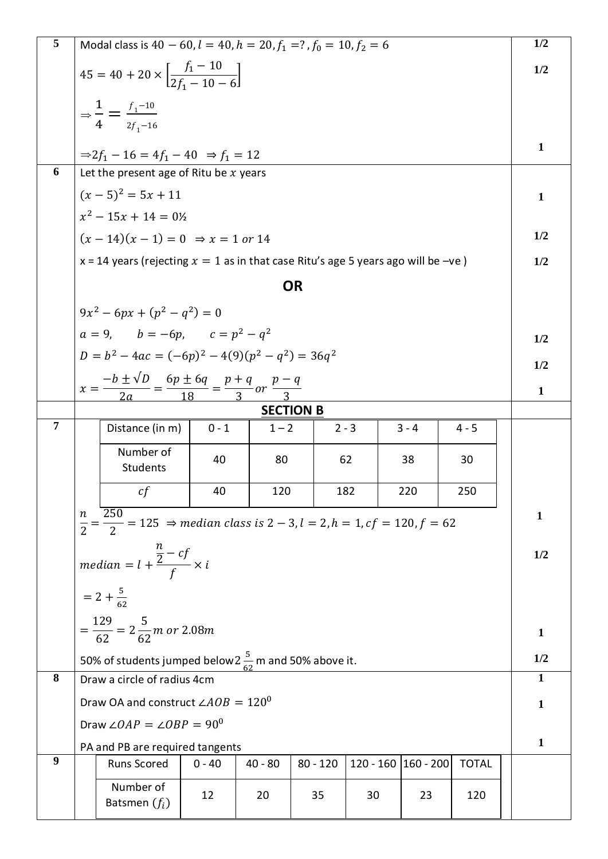| 5              | Modal class is $40 - 60$ , $l = 40$ , $h = 20$ , $f_1 = ?$ , $f_0 = 10$ , $f_2 = 6$                                               |                                                                                     |          |           |            |                     |         | 1/2          |              |              |
|----------------|-----------------------------------------------------------------------------------------------------------------------------------|-------------------------------------------------------------------------------------|----------|-----------|------------|---------------------|---------|--------------|--------------|--------------|
|                | $45 = 40 + 20 \times \left[ \frac{f_1 - 10}{2f_1 - 10 - 6} \right]$                                                               |                                                                                     |          |           |            |                     |         | 1/2          |              |              |
|                | $\Rightarrow \frac{1}{4} = \frac{f_1 - 10}{2f_1 - 16}$                                                                            |                                                                                     |          |           |            |                     |         |              |              |              |
|                |                                                                                                                                   |                                                                                     |          |           |            |                     |         |              |              |              |
|                |                                                                                                                                   | $\Rightarrow 2f_1 - 16 = 4f_1 - 40 \Rightarrow f_1 = 12$                            |          |           |            |                     |         |              |              | $\mathbf{1}$ |
| 6              |                                                                                                                                   | Let the present age of Ritu be $x$ years                                            |          |           |            |                     |         |              |              |              |
|                |                                                                                                                                   | $(x-5)^2 = 5x + 11$                                                                 |          |           |            |                     |         |              |              | $\mathbf{1}$ |
|                |                                                                                                                                   | $x^2 - 15x + 14 = 0$ <sup>2</sup>                                                   |          |           |            |                     |         |              |              |              |
|                |                                                                                                                                   | $(x-14)(x-1) = 0 \Rightarrow x = 1 \text{ or } 14$                                  |          |           |            |                     |         |              |              | 1/2          |
|                |                                                                                                                                   | x = 14 years (rejecting $x = 1$ as in that case Ritu's age 5 years ago will be -ve) |          |           |            |                     |         |              |              | 1/2          |
|                |                                                                                                                                   |                                                                                     |          |           | <b>OR</b>  |                     |         |              |              |              |
|                |                                                                                                                                   |                                                                                     |          |           |            |                     |         |              |              |              |
|                | $9x^2 - 6px + (p^2 - q^2) = 0$                                                                                                    |                                                                                     |          |           |            |                     |         |              |              |              |
|                | $a = 9$ , $b = -6p$ , $c = p^2 - q^2$                                                                                             |                                                                                     |          |           |            |                     |         |              |              | 1/2          |
|                | $D = b^2 - 4ac = (-6p)^2 - 4(9)(p^2 - q^2) = 36q^2$                                                                               |                                                                                     |          |           |            |                     |         |              |              | 1/2          |
|                | $x = \frac{-b \pm \sqrt{D}}{2a} = \frac{6p \pm 6q}{18} = \frac{p+q}{3}$ or $\frac{p-q}{3}$                                        |                                                                                     |          |           |            |                     |         |              | $\mathbf{1}$ |              |
|                | <b>SECTION B</b>                                                                                                                  |                                                                                     |          |           |            |                     |         |              |              |              |
| $\overline{7}$ |                                                                                                                                   | Distance (in m)                                                                     | $0 - 1$  | $1 - 2$   |            | $2 - 3$             | $3 - 4$ | $4 - 5$      |              |              |
|                |                                                                                                                                   | Number of<br>Students                                                               | 40       | 80        |            | 62                  | 38      | 30           |              |              |
|                |                                                                                                                                   | cf                                                                                  | 40       | 120       |            | 182                 | 220     | 250          |              |              |
|                | 250<br>n<br>$\frac{R}{2} = \frac{256}{2} = 125$ $\Rightarrow$ median class is $2 - 3$ , $l = 2$ , $h = 1$ , $cf = 120$ , $f = 62$ |                                                                                     |          |           |            |                     |         |              | $\mathbf{1}$ |              |
|                |                                                                                                                                   |                                                                                     |          |           |            |                     |         | 1/2          |              |              |
|                | median = $l + \frac{\frac{n}{2} - cf}{f} \times i$                                                                                |                                                                                     |          |           |            |                     |         |              |              |              |
|                | $= 2 + \frac{5}{62}$                                                                                                              |                                                                                     |          |           |            |                     |         |              |              |              |
|                |                                                                                                                                   |                                                                                     |          |           |            |                     |         |              |              |              |
|                | $=\frac{129}{62}=2\frac{5}{62}m$ or 2.08m                                                                                         |                                                                                     |          |           |            |                     |         |              | 1            |              |
|                | 50% of students jumped below $2\frac{5}{62}$ m and 50% above it.                                                                  |                                                                                     |          |           |            |                     |         |              | 1/2          |              |
| 8              |                                                                                                                                   | Draw a circle of radius 4cm                                                         |          |           |            |                     |         |              |              | 1            |
|                | Draw OA and construct $\angle AOB = 120^0$                                                                                        |                                                                                     |          |           |            |                     |         | 1            |              |              |
|                | Draw $\angle OAP = \angle OBP = 90^{\circ}$                                                                                       |                                                                                     |          |           |            |                     |         |              |              |              |
|                | PA and PB are required tangents                                                                                                   |                                                                                     |          |           |            |                     |         | 1            |              |              |
| 9              |                                                                                                                                   | <b>Runs Scored</b>                                                                  | $0 - 40$ | $40 - 80$ | $80 - 120$ | 120 - 160 160 - 200 |         | <b>TOTAL</b> |              |              |
|                |                                                                                                                                   | Number of<br>Batsmen $(f_i)$                                                        | 12       | 20        | 35         | 30                  | 23      | 120          |              |              |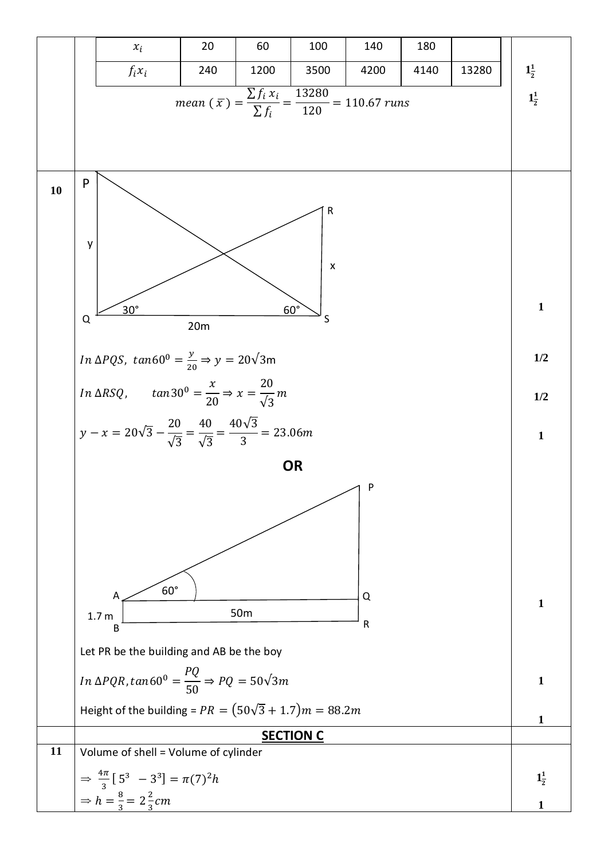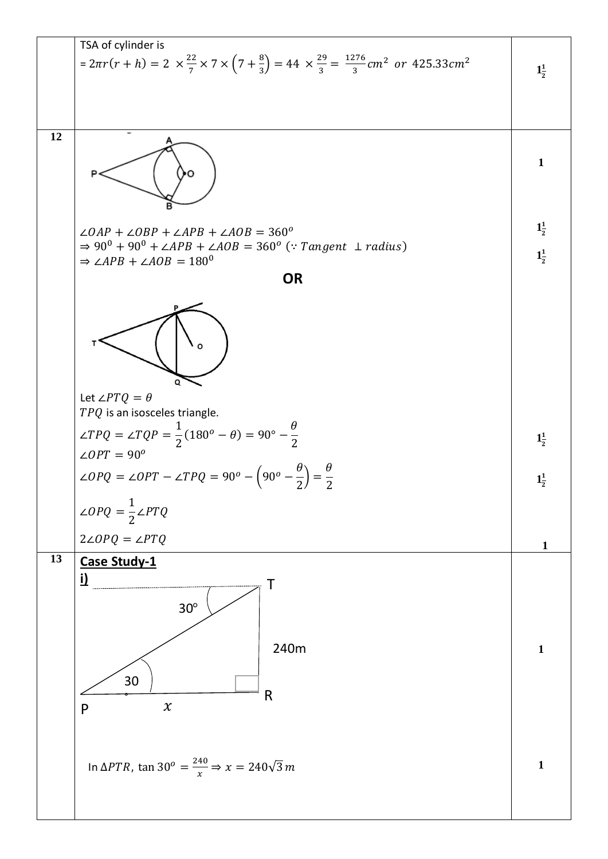